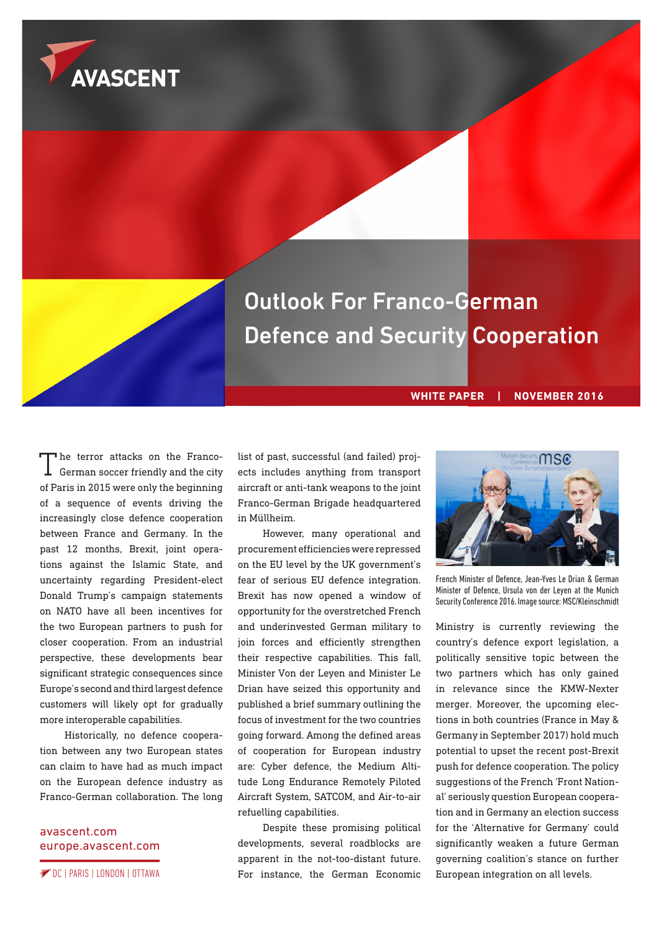



Outlook For Franco-German Defence and Security Cooperation

# **WHITE PAPER | NOVEMBER 2016**

The terror attacks on the Franco-German soccer friendly and the city of Paris in 2015 were only the beginning of a sequence of events driving the increasingly close defence cooperation between France and Germany. In the past 12 months, Brexit, joint operations against the Islamic State, and uncertainty regarding President-elect Donald Trump's campaign statements on NATO have all been incentives for the two European partners to push for closer cooperation. From an industrial perspective, these developments bear significant strategic consequences since Europe's second and third largest defence customers will likely opt for gradually more interoperable capabilities.

Historically, no defence cooperation between any two European states can claim to have had as much impact on the European defence industry as Franco-German collaboration. The long

## [avascent.com](http://avascent.com) [europe.avascent.com](http://europe.avascent.com)

list of past, successful (and failed) projects includes anything from transport aircraft or anti-tank weapons to the joint Franco-German Brigade headquartered in Müllheim.

However, many operational and procurement efficiencies were repressed on the EU level by the UK government's fear of serious EU defence integration. Brexit has now opened a window of opportunity for the overstretched French and underinvested German military to join forces and efficiently strengthen their respective capabilities. This fall, Minister Von der Leyen and Minister Le Drian have seized this opportunity and published a brief summary outlining the focus of investment for the two countries going forward. Among the defined areas of cooperation for European industry are: Cyber defence, the Medium Altitude Long Endurance Remotely Piloted Aircraft System, SATCOM, and Air-to-air refuelling capabilities.

Despite these promising political developments, several roadblocks are apparent in the not-too-distant future. DC | PARIS | LONDON | OTTAWA **Externe Externe European integration on all levels.** The state of the state of the German Economic European integration on all levels.



French Minister of Defence, Jean-Yves Le Drian & German Minister of Defence, Ursula von der Leyen at the Munich Security Conference 2016. Image source: MSC/Kleinschmidt

Ministry is currently reviewing the country's defence export legislation, a politically sensitive topic between the two partners which has only gained in relevance since the KMW-Nexter merger. Moreover, the upcoming elections in both countries (France in May & Germany in September 2017) hold much potential to upset the recent post-Brexit push for defence cooperation. The policy suggestions of the French 'Front National' seriously question European cooperation and in Germany an election success for the 'Alternative for Germany' could significantly weaken a future German governing coalition's stance on further